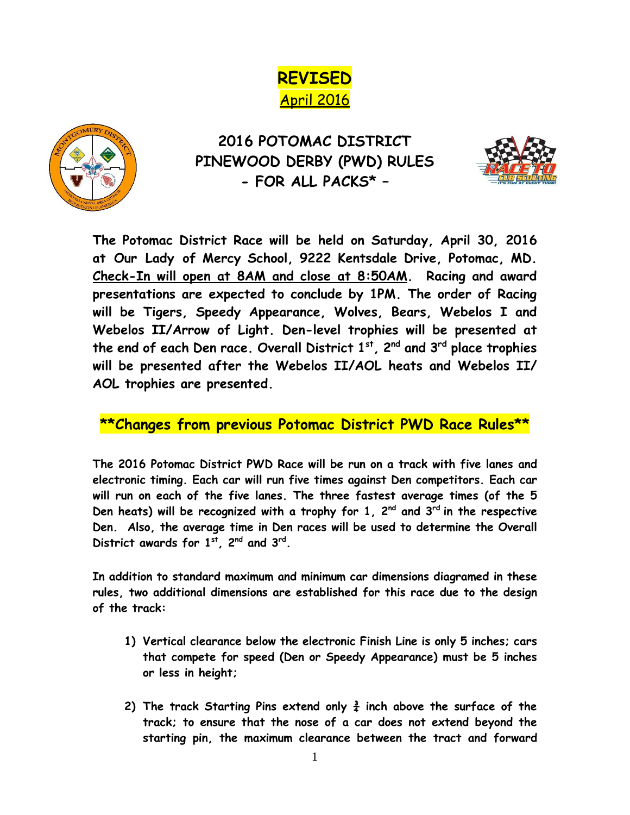



**2016 POTOMAC DISTRICT PINEWOOD DERBY (PWD) RULES - FOR ALL PACKS\* –**



**The Potomac District Race will be held on Saturday, April 30, 2016 at Our Lady of Mercy School, 9222 Kentsdale Drive, Potomac, MD. Check-In will open at 8AM and close at 8:50AM. Racing and award presentations are expected to conclude by 1PM. The order of Racing will be Tigers, Speedy Appearance, Wolves, Bears, Webelos I and Webelos II/Arrow of Light. Den-level trophies will be presented at the end of each Den race. Overall District 1st, 2nd and 3rd place trophies will be presented after the Webelos II/AOL heats and Webelos II/ AOL trophies are presented.**

**\*\*Changes from previous Potomac District PWD Race Rules\*\***

**The 2016 Potomac District PWD Race will be run on a track with five lanes and electronic timing. Each car will run five times against Den competitors. Each car will run on each of the five lanes. The three fastest average times (of the 5 Den heats) will be recognized with a trophy for 1, 2nd and 3rd in the respective Den. Also, the average time in Den races will be used to determine the Overall District awards for 1st, 2nd and 3rd .**

**In addition to standard maximum and minimum car dimensions diagramed in these rules, two additional dimensions are established for this race due to the design of the track:**

- **1) Vertical clearance below the electronic Finish Line is only 5 inches; cars that compete for speed (Den or Speedy Appearance) must be 5 inches or less in height;**
- **2) The track Starting Pins extend only ¾ inch above the surface of the track; to ensure that the nose of a car does not extend beyond the starting pin, the maximum clearance between the tract and forward**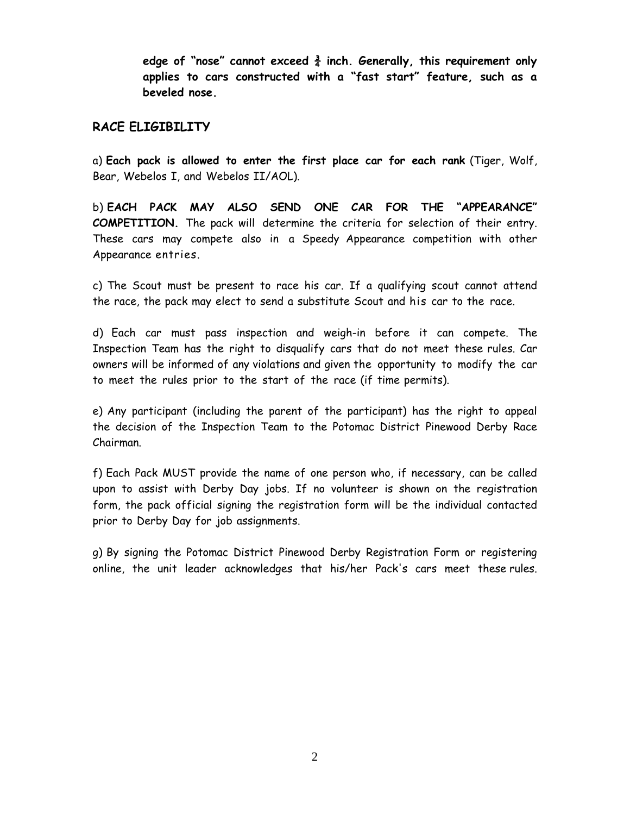**edge of "nose" cannot exceed ¾ inch. Generally, this requirement only applies to cars constructed with a "fast start" feature, such as a beveled nose.**

#### **RACE ELIGIBILITY**

a) **Each pack is allowed to enter the first place car for each rank** (Tiger, Wolf, Bear, Webelos I, and Webelos II/AOL).

b) **EACH PACK MAY ALSO SEND ONE CAR FOR THE "APPEARANCE" COMPETITION.** The pack will determine the criteria for selection of their entry. These cars may compete also in a Speedy Appearance competition with other Appearance entries.

c) The Scout must be present to race his car. If a qualifying scout cannot attend the race, the pack may elect to send a substitute Scout and his car to the race.

d) Each car must pass inspection and weigh-in before it can compete. The Inspection Team has the right to disqualify cars that do not meet these rules. Car owners will be informed of any violations and given the opportunity to modify the car to meet the rules prior to the start of the race (if time permits).

e) Any participant (including the parent of the participant) has the right to appeal the decision of the Inspection Team to the Potomac District Pinewood Derby Race Chairman.

f) Each Pack MUST provide the name of one person who, if necessary, can be called upon to assist with Derby Day jobs. If no volunteer is shown on the registration form, the pack official signing the registration form will be the individual contacted prior to Derby Day for job assignments.

g) By signing the Potomac District Pinewood Derby Registration Form or registering online, the unit leader acknowledges that his/her Pack's cars meet these rules.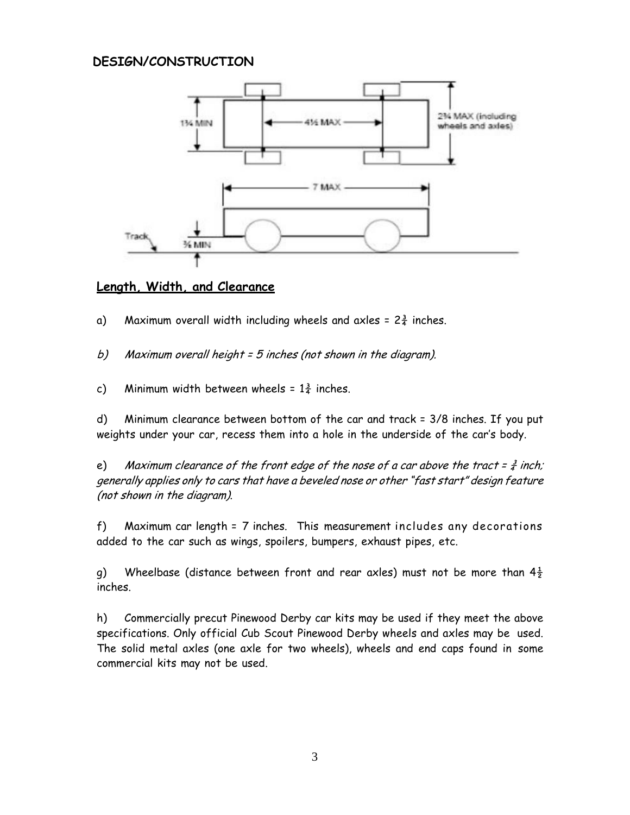## **DESIGN/CONSTRUCTION**



### **Length, Width, and Clearance**

a) Maximum overall width including wheels and axles =  $2\frac{3}{4}$  inches.

b) Maximum overall height = 5 inches (not shown in the diagram).

c) Minimum width between wheels =  $1\frac{3}{4}$  inches.

d) Minimum clearance between bottom of the car and track = 3/8 inches. If you put weights under your car, recess them into a hole in the underside of the car's body.

e) Maximum clearance of the front edge of the nose of a car above the tract =  $\frac{3}{4}$  inch; generally applies only to cars that have a beveled nose or other "fast start" design feature (not shown in the diagram).

f) Maximum car length = 7 inches. This measurement includes any decorations added to the car such as wings, spoilers, bumpers, exhaust pipes, etc.

g) Wheelbase (distance between front and rear axles) must not be more than  $4\frac{1}{2}$ inches.

h) Commercially precut Pinewood Derby car kits may be used if they meet the above specifications. Only official Cub Scout Pinewood Derby wheels and axles may be used. The solid metal axles (one axle for two wheels), wheels and end caps found in some commercial kits may not be used.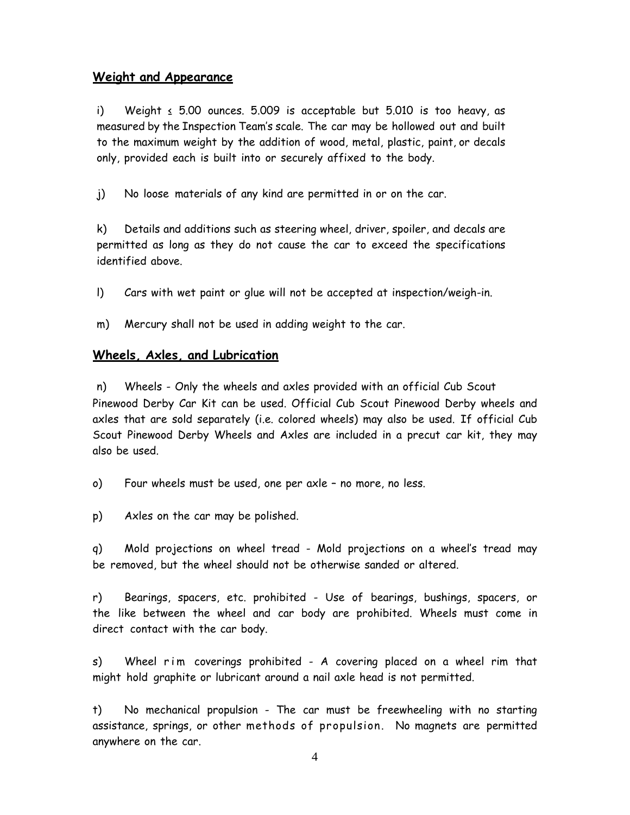#### **Weight and Appearance**

i) Weight  $\leq 5.00$  ounces. 5.009 is acceptable but 5.010 is too heavy, as measured by the Inspection Team's scale. The car may be hollowed out and built to the maximum weight by the addition of wood, metal, plastic, paint, or decals only, provided each is built into or securely affixed to the body.

j) No loose materials of any kind are permitted in or on the car.

k) Details and additions such as steering wheel, driver, spoiler, and decals are permitted as long as they do not cause the car to exceed the specifications identified above.

l) Cars with wet paint or glue will not be accepted at inspection/weigh-in.

m) Mercury shall not be used in adding weight to the car.

#### **Wheels, Axles, and Lubrication**

n) Wheels - Only the wheels and axles provided with an official Cub Scout Pinewood Derby Car Kit can be used. Official Cub Scout Pinewood Derby wheels and axles that are sold separately (i.e. colored wheels) may also be used. If official Cub Scout Pinewood Derby Wheels and Axles are included in a precut car kit, they may also be used.

o) Four wheels must be used, one per axle – no more, no less.

p) Axles on the car may be polished.

q) Mold projections on wheel tread - Mold projections on a wheel's tread may be removed, but the wheel should not be otherwise sanded or altered.

r) Bearings, spacers, etc. prohibited - Use of bearings, bushings, spacers, or the like between the wheel and car body are prohibited. Wheels must come in direct contact with the car body.

s) Wheel rim coverings prohibited - A covering placed on a wheel rim that might hold graphite or lubricant around a nail axle head is not permitted.

t) No mechanical propulsion - The car must be freewheeling with no starting assistance, springs, or other methods of propulsion. No magnets are permitted anywhere on the car.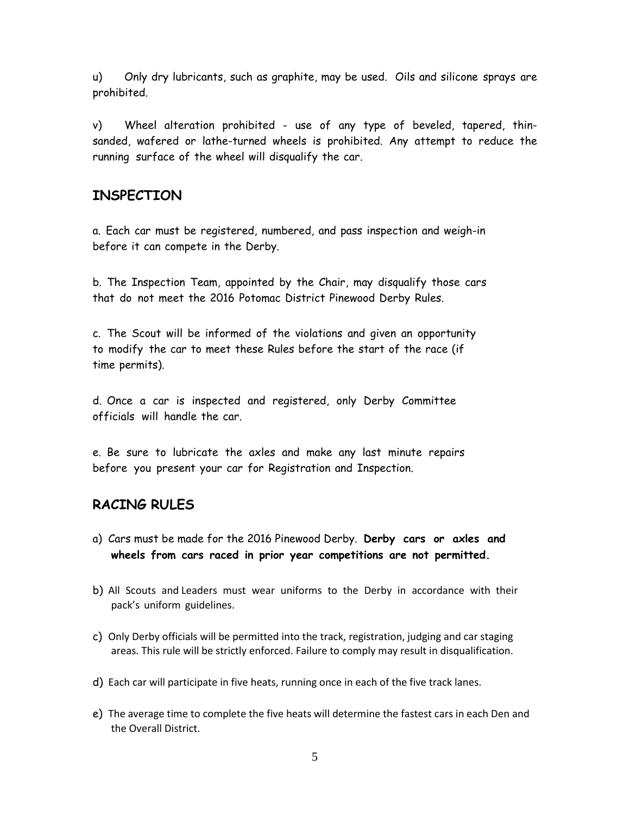u) Only dry lubricants, such as graphite, may be used. Oils and silicone sprays are prohibited.

v) Wheel alteration prohibited - use of any type of beveled, tapered, thinsanded, wafered or lathe-turned wheels is prohibited. Any attempt to reduce the running surface of the wheel will disqualify the car.

## **INSPECTION**

a. Each car must be registered, numbered, and pass inspection and weigh-in before it can compete in the Derby.

b. The Inspection Team, appointed by the Chair, may disqualify those cars that do not meet the 2016 Potomac District Pinewood Derby Rules.

c. The Scout will be informed of the violations and given an opportunity to modify the car to meet these Rules before the start of the race (if time permits).

d. Once a car is inspected and registered, only Derby Committee officials will handle the car.

e. Be sure to lubricate the axles and make any last minute repairs before you present your car for Registration and Inspection.

## **RACING RULES**

- a) Cars must be made for the 2016 Pinewood Derby. **Derby cars or axles and wheels from cars raced in prior year competitions are not permitted.**
- b) All Scouts and Leaders must wear uniforms to the Derby in accordance with their pack's uniform guidelines.
- c) Only Derby officials will be permitted into the track, registration, judging and car staging areas. This rule will be strictly enforced. Failure to comply may result in disqualification.
- d) Each car will participate in five heats, running once in each of the five track lanes.
- e) The average time to complete the five heats will determine the fastest cars in each Den and the Overall District.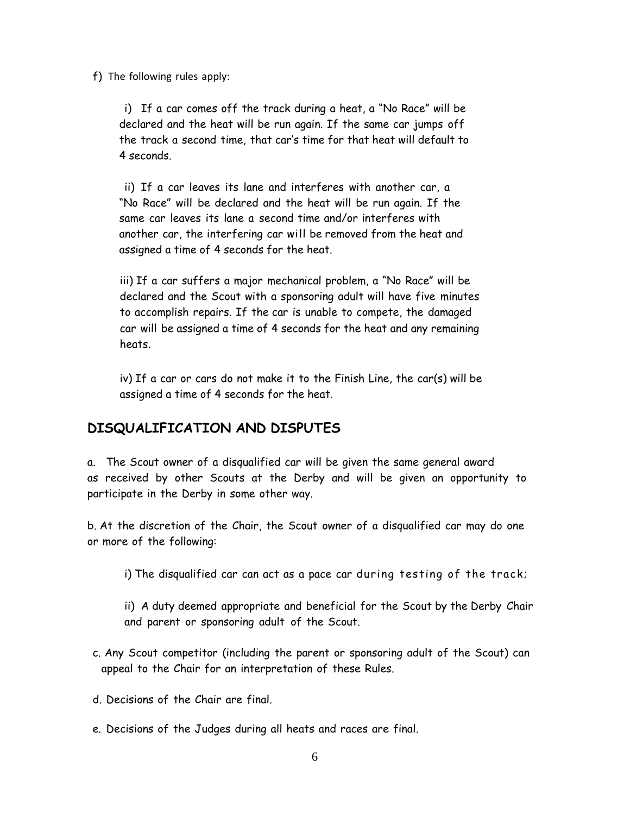f) The following rules apply:

i) If a car comes off the track during a heat, a "No Race" will be declared and the heat will be run again. If the same car jumps off the track a second time, that car's time for that heat will default to 4 seconds.

ii) If a car leaves its lane and interferes with another car, a "No Race" will be declared and the heat will be run again. If the same car leaves its lane a second time and/or interferes with another car, the interfering car will be removed from the heat and assigned a time of 4 seconds for the heat.

iii) If a car suffers a major mechanical problem, a "No Race" will be declared and the Scout with a sponsoring adult will have five minutes to accomplish repairs. If the car is unable to compete, the damaged car will be assigned a time of 4 seconds for the heat and any remaining heats.

iv) If a car or cars do not make it to the Finish Line, the car(s) will be assigned a time of 4 seconds for the heat.

## **DISQUALIFICATION AND DISPUTES**

a. The Scout owner of a disqualified car will be given the same general award as received by other Scouts at the Derby and will be given an opportunity to participate in the Derby in some other way.

b. At the discretion of the Chair, the Scout owner of a disqualified car may do one or more of the following:

i) The disqualified car can act as a pace car during testing of the track;

ii) A duty deemed appropriate and beneficial for the Scout by the Derby Chair and parent or sponsoring adult of the Scout.

- c. Any Scout competitor (including the parent or sponsoring adult of the Scout) can appeal to the Chair for an interpretation of these Rules.
- d. Decisions of the Chair are final.
- e. Decisions of the Judges during all heats and races are final.